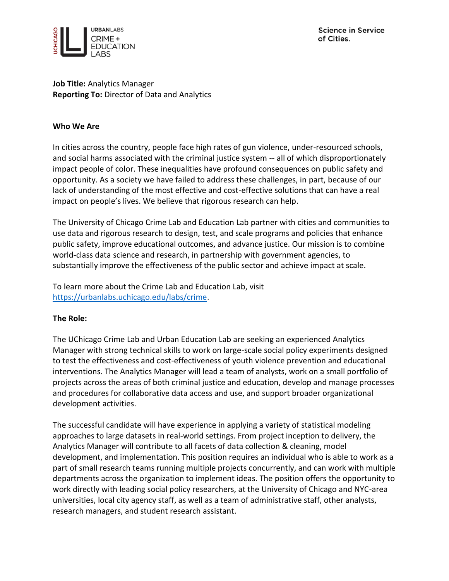

**Job Title:** Analytics Manager **Reporting To:** Director of Data and Analytics

### **Who We Are**

In cities across the country, people face high rates of gun violence, under-resourced schools, and social harms associated with the criminal justice system -- all of which disproportionately impact people of color. These inequalities have profound consequences on public safety and opportunity. As a society we have failed to address these challenges, in part, because of our lack of understanding of the most effective and cost-effective solutions that can have a real impact on people's lives. We believe that rigorous research can help.

The University of Chicago Crime Lab and Education Lab partner with cities and communities to use data and rigorous research to design, test, and scale programs and policies that enhance public safety, improve educational outcomes, and advance justice. Our mission is to combine world-class data science and research, in partnership with government agencies, to substantially improve the effectiveness of the public sector and achieve impact at scale.

To learn more about the Crime Lab and Education Lab, visit [https://urbanlabs.uchicago.edu/labs/crime.](https://urbanlabs.uchicago.edu/labs/crime)

# **The Role:**

The UChicago Crime Lab and Urban Education Lab are seeking an experienced Analytics Manager with strong technical skills to work on large-scale social policy experiments designed to test the effectiveness and cost-effectiveness of youth violence prevention and educational interventions. The Analytics Manager will lead a team of analysts, work on a small portfolio of projects across the areas of both criminal justice and education, develop and manage processes and procedures for collaborative data access and use, and support broader organizational development activities.

The successful candidate will have experience in applying a variety of statistical modeling approaches to large datasets in real-world settings. From project inception to delivery, the Analytics Manager will contribute to all facets of data collection & cleaning, model development, and implementation. This position requires an individual who is able to work as a part of small research teams running multiple projects concurrently, and can work with multiple departments across the organization to implement ideas. The position offers the opportunity to work directly with leading social policy researchers, at the University of Chicago and NYC-area universities, local city agency staff, as well as a team of administrative staff, other analysts, research managers, and student research assistant.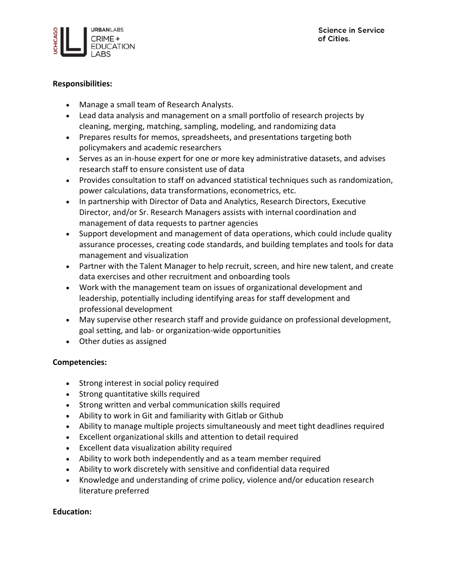# **Responsibilities:**

- Manage a small team of Research Analysts.
- Lead data analysis and management on a small portfolio of research projects by cleaning, merging, matching, sampling, modeling, and randomizing data
- Prepares results for memos, spreadsheets, and presentations targeting both policymakers and academic researchers
- Serves as an in-house expert for one or more key administrative datasets, and advises research staff to ensure consistent use of data
- Provides consultation to staff on advanced statistical techniques such as randomization, power calculations, data transformations, econometrics, etc.
- In partnership with Director of Data and Analytics, Research Directors, Executive Director, and/or Sr. Research Managers assists with internal coordination and management of data requests to partner agencies
- Support development and management of data operations, which could include quality assurance processes, creating code standards, and building templates and tools for data management and visualization
- Partner with the Talent Manager to help recruit, screen, and hire new talent, and create data exercises and other recruitment and onboarding tools
- Work with the management team on issues of organizational development and leadership, potentially including identifying areas for staff development and professional development
- May supervise other research staff and provide guidance on professional development, goal setting, and lab- or organization-wide opportunities
- Other duties as assigned

# **Competencies:**

- Strong interest in social policy required
- Strong quantitative skills required
- Strong written and verbal communication skills required
- Ability to work in Git and familiarity with Gitlab or Github
- Ability to manage multiple projects simultaneously and meet tight deadlines required
- Excellent organizational skills and attention to detail required
- Excellent data visualization ability required
- Ability to work both independently and as a team member required
- Ability to work discretely with sensitive and confidential data required
- Knowledge and understanding of crime policy, violence and/or education research literature preferred

# **Education:**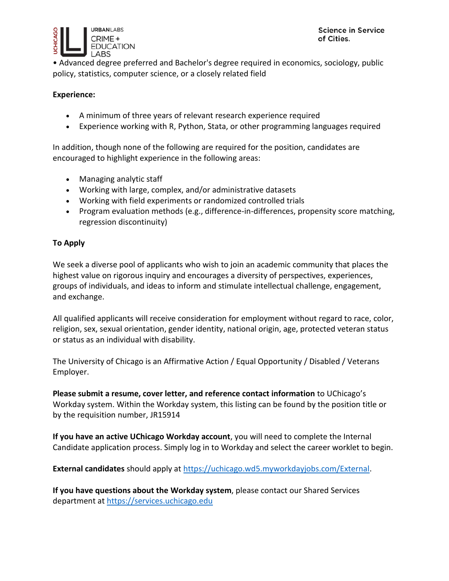

• Advanced degree preferred and Bachelor's degree required in economics, sociology, public policy, statistics, computer science, or a closely related field

### **Experience:**

- A minimum of three years of relevant research experience required
- Experience working with R, Python, Stata, or other programming languages required

In addition, though none of the following are required for the position, candidates are encouraged to highlight experience in the following areas:

- Managing analytic staff
- Working with large, complex, and/or administrative datasets
- Working with field experiments or randomized controlled trials
- Program evaluation methods (e.g., difference-in-differences, propensity score matching, regression discontinuity)

### **To Apply**

We seek a diverse pool of applicants who wish to join an academic community that places the highest value on rigorous inquiry and encourages a diversity of perspectives, experiences, groups of individuals, and ideas to inform and stimulate intellectual challenge, engagement, and exchange.

All qualified applicants will receive consideration for employment without regard to race, color, religion, sex, sexual orientation, gender identity, national origin, age, protected veteran status or status as an individual with disability.

The University of Chicago is an Affirmative Action / Equal Opportunity / Disabled / Veterans Employer.

**Please submit a resume, cover letter, and reference contact information** to UChicago's Workday system. Within the Workday system, this listing can be found by the position title or by the requisition number, JR15914

**If you have an active UChicago Workday account**, you will need to complete the Internal Candidate application process. Simply log in to Workday and select the career worklet to begin.

**External candidates** should apply at [https://uchicago.wd5.myworkdayjobs.com/External.](https://uchicago.wd5.myworkdayjobs.com/External)

**If you have questions about the Workday system**, please contact our Shared Services department at [https://services.uchicago.edu](https://services.uchicago.edu/)